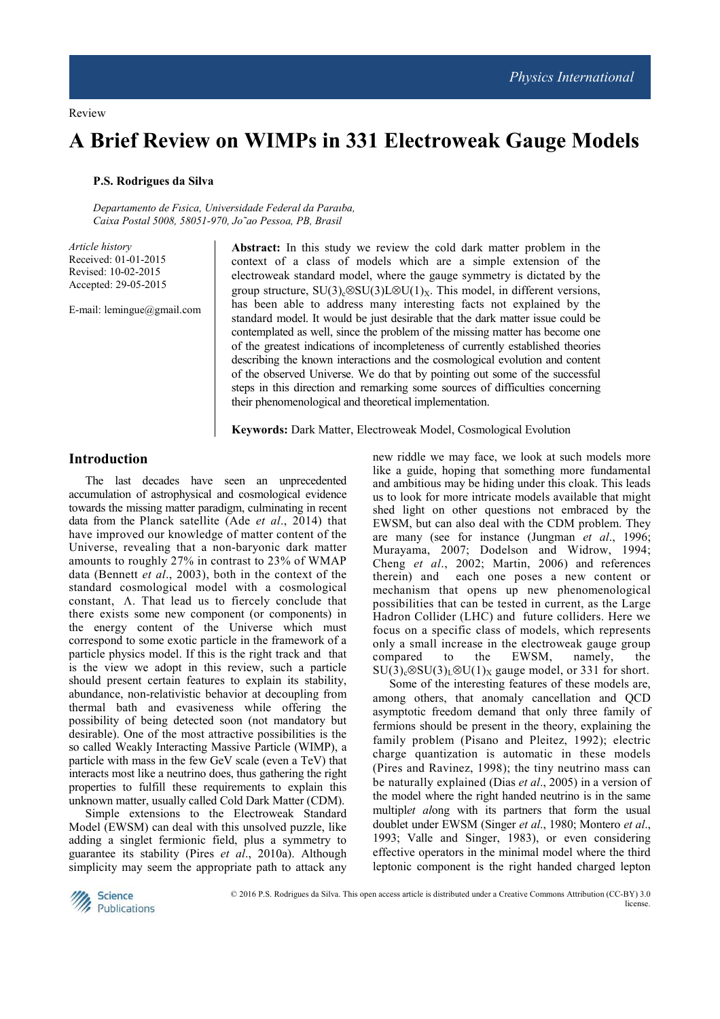# **A Brief Review on WIMPs in 331 Electroweak Gauge Models**

# **P.S. Rodrigues da Silva**

*Departamento de Fısica, Universidade Federal da Paraıba, Caixa Postal 5008, 58051-970, Jo˜ao Pessoa, PB, Brasil*

*Article history*  Received: 01-01-2015 Revised: 10-02-2015 Accepted: 29-05-2015

E-mail: lemingue@gmail.com

**Abstract:** In this study we review the cold dark matter problem in the context of a class of models which are a simple extension of the electroweak standard model, where the gauge symmetry is dictated by the group structure,  $SU(3)$ <sub>c</sub>⊗SU(3)L⊗U(1)<sub>X</sub>. This model, in different versions, has been able to address many interesting facts not explained by the standard model. It would be just desirable that the dark matter issue could be contemplated as well, since the problem of the missing matter has become one of the greatest indications of incompleteness of currently established theories describing the known interactions and the cosmological evolution and content of the observed Universe. We do that by pointing out some of the successful steps in this direction and remarking some sources of difficulties concerning their phenomenological and theoretical implementation.

**Keywords:** Dark Matter, Electroweak Model, Cosmological Evolution

# **Introduction**

The last decades have seen an unprecedented accumulation of astrophysical and cosmological evidence towards the missing matter paradigm, culminating in recent data from the Planck satellite (Ade *et al*., 2014) that have improved our knowledge of matter content of the Universe, revealing that a non-baryonic dark matter amounts to roughly 27% in contrast to 23% of WMAP data (Bennett *et al*., 2003), both in the context of the standard cosmological model with a cosmological constant, Λ. That lead us to fiercely conclude that there exists some new component (or components) in the energy content of the Universe which must correspond to some exotic particle in the framework of a particle physics model. If this is the right track and that is the view we adopt in this review, such a particle should present certain features to explain its stability, abundance, non-relativistic behavior at decoupling from thermal bath and evasiveness while offering the possibility of being detected soon (not mandatory but desirable). One of the most attractive possibilities is the so called Weakly Interacting Massive Particle (WIMP), a particle with mass in the few GeV scale (even a TeV) that interacts most like a neutrino does, thus gathering the right properties to fulfill these requirements to explain this unknown matter, usually called Cold Dark Matter (CDM).

Simple extensions to the Electroweak Standard Model (EWSM) can deal with this unsolved puzzle, like adding a singlet fermionic field, plus a symmetry to guarantee its stability (Pires *et al*., 2010a). Although simplicity may seem the appropriate path to attack any new riddle we may face, we look at such models more like a guide, hoping that something more fundamental and ambitious may be hiding under this cloak. This leads us to look for more intricate models available that might shed light on other questions not embraced by the EWSM, but can also deal with the CDM problem. They are many (see for instance (Jungman *et al*., 1996; Murayama, 2007; Dodelson and Widrow, 1994; Cheng *et al*., 2002; Martin, 2006) and references therein) and each one poses a new content or mechanism that opens up new phenomenological possibilities that can be tested in current, as the Large Hadron Collider (LHC) and future colliders. Here we focus on a specific class of models, which represents only a small increase in the electroweak gauge group compared to the EWSM, namely, the  $SU(3)_c \otimes SU(3)_L \otimes U(1)_X$  gauge model, or 331 for short.

Some of the interesting features of these models are, among others, that anomaly cancellation and QCD asymptotic freedom demand that only three family of fermions should be present in the theory, explaining the family problem (Pisano and Pleitez, 1992); electric charge quantization is automatic in these models (Pires and Ravinez, 1998); the tiny neutrino mass can be naturally explained (Dias *et al*., 2005) in a version of the model where the right handed neutrino is in the same multipl*et al*ong with its partners that form the usual doublet under EWSM (Singer *et al*., 1980; Montero *et al*., 1993; Valle and Singer, 1983), or even considering effective operators in the minimal model where the third leptonic component is the right handed charged lepton

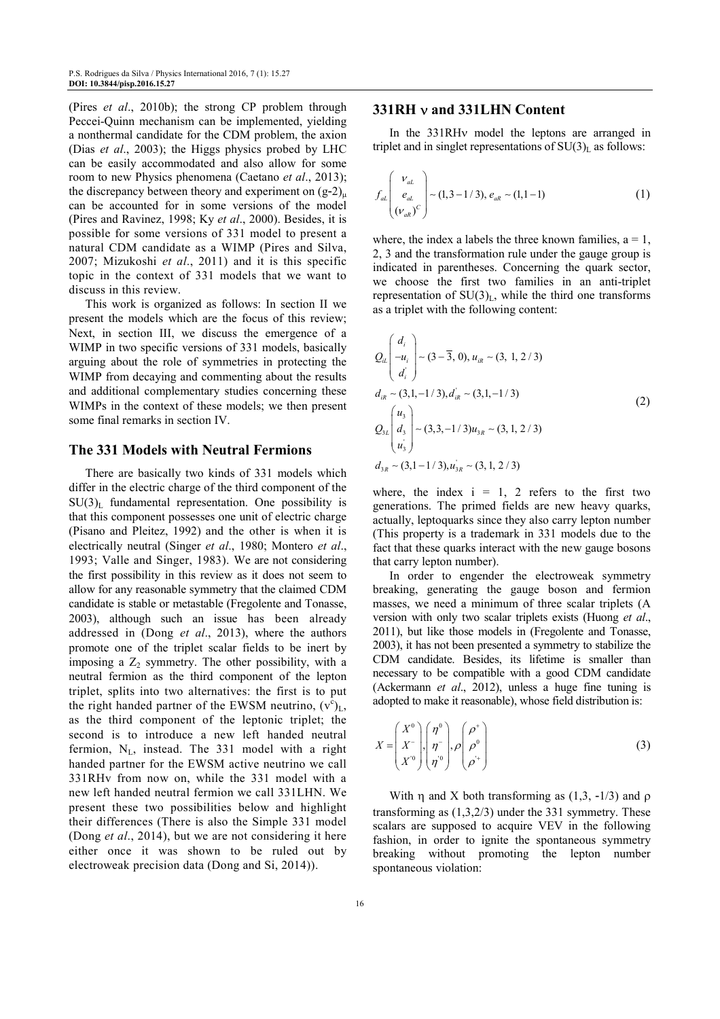(Pires *et al*., 2010b); the strong CP problem through Peccei-Quinn mechanism can be implemented, yielding a nonthermal candidate for the CDM problem, the axion (Dias *et al*., 2003); the Higgs physics probed by LHC can be easily accommodated and also allow for some room to new Physics phenomena (Caetano *et al*., 2013); the discrepancy between theory and experiment on  $(g-2)_{\mu}$ can be accounted for in some versions of the model (Pires and Ravinez, 1998; Ky *et al*., 2000). Besides, it is possible for some versions of 331 model to present a natural CDM candidate as a WIMP (Pires and Silva, 2007; Mizukoshi *et al*., 2011) and it is this specific topic in the context of 331 models that we want to discuss in this review.

This work is organized as follows: In section II we present the models which are the focus of this review; Next, in section III, we discuss the emergence of a WIMP in two specific versions of 331 models, basically arguing about the role of symmetries in protecting the WIMP from decaying and commenting about the results and additional complementary studies concerning these WIMPs in the context of these models; we then present some final remarks in section IV.

# **The 331 Models with Neutral Fermions**

There are basically two kinds of 331 models which differ in the electric charge of the third component of the  $SU(3)<sub>L</sub>$  fundamental representation. One possibility is that this component possesses one unit of electric charge (Pisano and Pleitez, 1992) and the other is when it is electrically neutral (Singer *et al*., 1980; Montero *et al*., 1993; Valle and Singer, 1983). We are not considering the first possibility in this review as it does not seem to allow for any reasonable symmetry that the claimed CDM candidate is stable or metastable (Fregolente and Tonasse, 2003), although such an issue has been already addressed in (Dong *et al*., 2013), where the authors promote one of the triplet scalar fields to be inert by imposing a  $Z_2$  symmetry. The other possibility, with a neutral fermion as the third component of the lepton triplet, splits into two alternatives: the first is to put the right handed partner of the EWSM neutrino,  $(v^c)_L$ , as the third component of the leptonic triplet; the second is to introduce a new left handed neutral fermion,  $N_L$ , instead. The 331 model with a right handed partner for the EWSM active neutrino we call 331RHv from now on, while the 331 model with a new left handed neutral fermion we call 331LHN. We present these two possibilities below and highlight their differences (There is also the Simple 331 model (Dong *et al*., 2014), but we are not considering it here either once it was shown to be ruled out by electroweak precision data (Dong and Si, 2014)).

## **331RH** ν **and 331LHN Content**

In the 331RHν model the leptons are arranged in triplet and in singlet representations of  $SU(3)<sub>L</sub>$  as follows:

$$
f_{al}\begin{pmatrix} v_{al} \\ e_{al} \\ (v_{aR})^C \end{pmatrix} \sim (1, 3 - 1/3), e_{aR} \sim (1, 1 - 1)
$$
 (1)

where, the index a labels the three known families,  $a = 1$ , 2, 3 and the transformation rule under the gauge group is indicated in parentheses. Concerning the quark sector, we choose the first two families in an anti-triplet representation of  $SU(3)<sub>L</sub>$ , while the third one transforms as a triplet with the following content:

$$
Q_{il}\begin{pmatrix} d_i \\ -u_i \\ d_i' \end{pmatrix} \sim (3-3, 0), u_{il} \sim (3, 1, 2/3)
$$
  
\n
$$
d_{il} \sim (3, 1, -1/3), d'_{il} \sim (3, 1, -1/3)
$$
  
\n
$$
Q_{3L}\begin{pmatrix} u_3 \\ d_3 \\ u'_3 \end{pmatrix} \sim (3, 3, -1/3)u_{3R} \sim (3, 1, 2/3)
$$
  
\n
$$
d_{3R} \sim (3, 1, -1/3), u'_{3R} \sim (3, 1, 2/3)
$$
\n(2)

where, the index  $i = 1$ , 2 refers to the first two generations. The primed fields are new heavy quarks, actually, leptoquarks since they also carry lepton number (This property is a trademark in 331 models due to the fact that these quarks interact with the new gauge bosons that carry lepton number).

In order to engender the electroweak symmetry breaking, generating the gauge boson and fermion masses, we need a minimum of three scalar triplets (A version with only two scalar triplets exists (Huong *et al*., 2011), but like those models in (Fregolente and Tonasse, 2003), it has not been presented a symmetry to stabilize the CDM candidate. Besides, its lifetime is smaller than necessary to be compatible with a good CDM candidate (Ackermann *et al*., 2012), unless a huge fine tuning is adopted to make it reasonable), whose field distribution is:

$$
X = \begin{pmatrix} X^0 \\ X^- \\ X^0 \end{pmatrix}, \begin{pmatrix} \eta^0 \\ \eta^- \\ \eta^0 \end{pmatrix}, \rho \begin{pmatrix} \rho^+ \\ \rho^0 \\ \rho^+ \end{pmatrix}
$$
 (3)

With  $\eta$  and X both transforming as (1,3, -1/3) and  $\rho$ transforming as (1,3,2/3) under the 331 symmetry. These scalars are supposed to acquire VEV in the following fashion, in order to ignite the spontaneous symmetry breaking without promoting the lepton number spontaneous violation: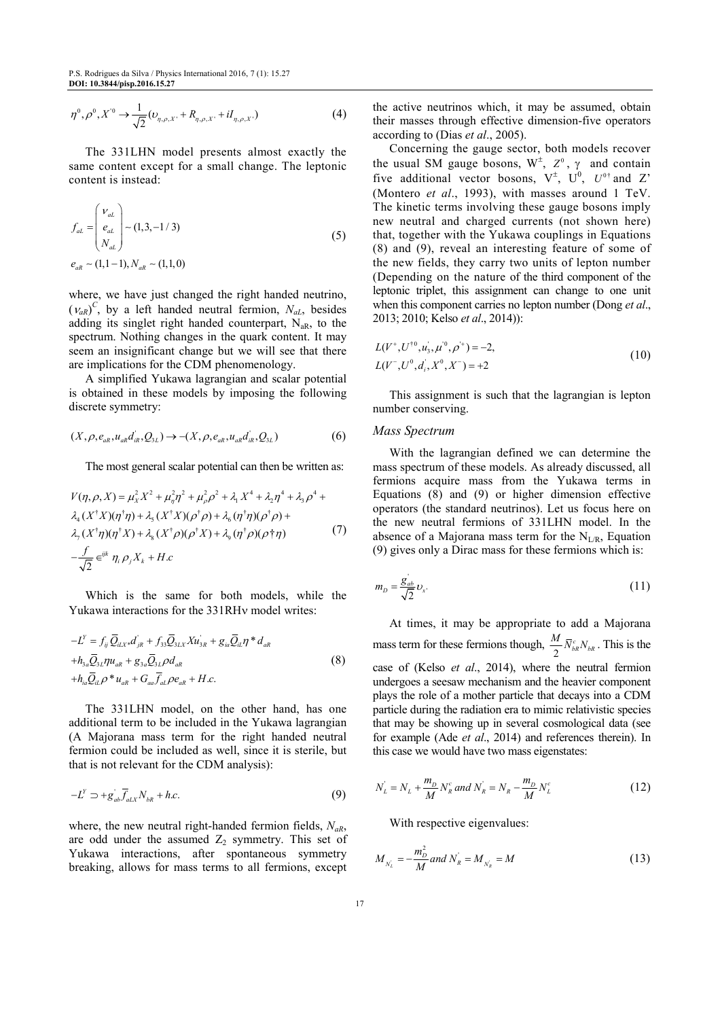$$
\eta^{0}, \rho^{0}, X^{0} \to \frac{1}{\sqrt{2}} (U_{\eta,\rho,X'} + R_{\eta,\rho,X'} + iI_{\eta,\rho,X'})
$$
\n(4)

The 331LHN model presents almost exactly the same content except for a small change. The leptonic content is instead:

$$
f_{al} = \begin{pmatrix} v_{al} \\ e_{al} \\ N_{al} \end{pmatrix} \sim (1, 3, -1/3)
$$
  
\n
$$
e_{ak} \sim (1, 1-1), N_{ak} \sim (1, 1, 0)
$$
\n(5)

where, we have just changed the right handed neutrino,  $(v_{aR})^C$ , by a left handed neutral fermion,  $N_{aL}$ , besides adding its singlet right handed counterpart,  $N_{aR}$ , to the spectrum. Nothing changes in the quark content. It may seem an insignificant change but we will see that there are implications for the CDM phenomenology.

A simplified Yukawa lagrangian and scalar potential is obtained in these models by imposing the following discrete symmetry:

$$
(X, \rho, e_{aR}, u_{aR}d_{iR}^{\dagger}, Q_{3L}) \to -(X, \rho, e_{aR}, u_{aR}d_{iR}^{\dagger}, Q_{3L})
$$
(6)

The most general scalar potential can then be written as:

$$
V(\eta, \rho, X) = \mu_X^2 X^2 + \mu_\eta^2 \eta^2 + \mu_\rho^2 \rho^2 + \lambda_1 X^4 + \lambda_2 \eta^4 + \lambda_3 \rho^4 + \lambda_4 (X^{\dagger} X)(\eta^{\dagger} \eta) + \lambda_5 (X^{\dagger} X)(\rho^{\dagger} \rho) + \lambda_6 (\eta^{\dagger} \eta)(\rho^{\dagger} \rho) + \lambda_7 (X^{\dagger} \eta)(\eta^{\dagger} X) + \lambda_8 (X^{\dagger} \rho)(\rho^{\dagger} X) + \lambda_9 (\eta^{\dagger} \rho)(\rho^{\dagger} \eta)
$$
(7)  

$$
-\frac{f}{\sqrt{2}} \epsilon^{ijk} \eta_i \rho_j X_k + H.c
$$

Which is the same for both models, while the Yukawa interactions for the 331RHν model writes:

$$
-L^Y = f_{ij} \overline{Q}_{iL}x * d_{jR} + f_{33} \overline{Q}_{3L}x X u_{3R} + g_{ia} \overline{Q}_{iL} \eta * d_{aR}
$$
  
+
$$
h_{3a} \overline{Q}_{3L} \eta u_{aR} + g_{3a} \overline{Q}_{3L} \rho d_{aR}
$$
  
+
$$
h_{ia} \overline{Q}_{iL} \rho * u_{aR} + G_{aa} \overline{f}_{aL} \rho e_{aR} + H.c.
$$
 (8)

The 331LHN model, on the other hand, has one additional term to be included in the Yukawa lagrangian (A Majorana mass term for the right handed neutral fermion could be included as well, since it is sterile, but that is not relevant for the CDM analysis):

$$
-L^Y \supset +g_{ab} \overline{f}_{aLX} N_{bR} + h.c.
$$
 (9)

where, the new neutral right-handed fermion fields, *NaR*, are odd under the assumed  $Z_2$  symmetry. This set of Yukawa interactions, after spontaneous symmetry breaking, allows for mass terms to all fermions, except

the active neutrinos which, it may be assumed, obtain their masses through effective dimension-five operators according to (Dias *et al*., 2005).

Concerning the gauge sector, both models recover the usual SM gauge bosons,  $W^{\pm}$ ,  $Z^0$ ,  $\gamma$  and contain five additional vector bosons,  $V^{\pm}$ ,  $U^0$ ,  $U^{0\dagger}$  and Z' (Montero *et al*., 1993), with masses around 1 TeV. The kinetic terms involving these gauge bosons imply new neutral and charged currents (not shown here) that, together with the Yukawa couplings in Equations (8) and (9), reveal an interesting feature of some of the new fields, they carry two units of lepton number (Depending on the nature of the third component of the leptonic triplet, this assignment can change to one unit when this component carries no lepton number (Dong *et al*., 2013; 2010; Kelso *et al*., 2014)):

$$
L(V^+, U^{\dagger 0}, u'_3, \mu^{\dagger 0}, \rho^{\dagger}) = -2,
$$
  
\n
$$
L(V^-, U^0, d'_i, X^0, X^-) = +2
$$
\n(10)

This assignment is such that the lagrangian is lepton number conserving.

#### *Mass Spectrum*

With the lagrangian defined we can determine the mass spectrum of these models. As already discussed, all fermions acquire mass from the Yukawa terms in Equations (8) and (9) or higher dimension effective operators (the standard neutrinos). Let us focus here on the new neutral fermions of 331LHN model. In the absence of a Majorana mass term for the  $N_{LR}$ , Equation (9) gives only a Dirac mass for these fermions which is:

$$
m_D = \frac{g_{ab}}{\sqrt{2}} \nu_x. \tag{11}
$$

At times, it may be appropriate to add a Majorana mass term for these fermions though,  $\frac{M}{2}$  $\frac{M}{2} \overline{N}_{bR}^c N_{bR}$ . This is the case of (Kelso *et al*., 2014), where the neutral fermion undergoes a seesaw mechanism and the heavier component plays the role of a mother particle that decays into a CDM particle during the radiation era to mimic relativistic species that may be showing up in several cosmological data (see for example (Ade *et al*., 2014) and references therein). In this case we would have two mass eigenstates:

$$
N_L = N_L + \frac{m_D}{M} N_R^c \text{ and } N_R = N_R - \frac{m_D}{M} N_L^c \tag{12}
$$

With respective eigenvalues:

$$
M_{N_L} = -\frac{m_D^2}{M} and N_R = M_{N_R} = M \tag{13}
$$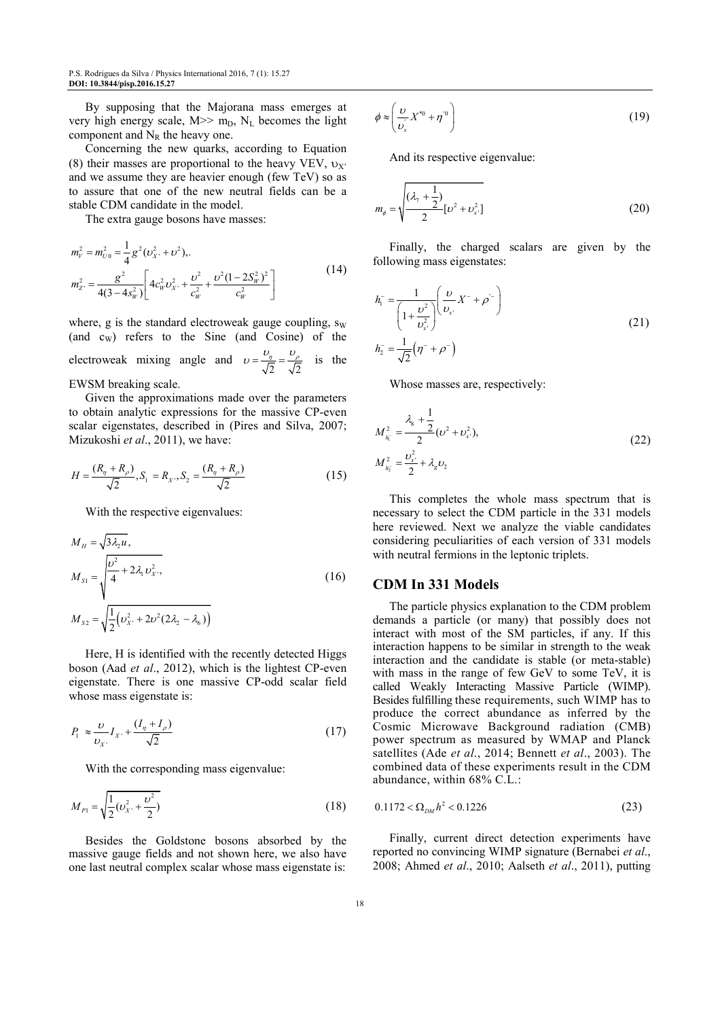By supposing that the Majorana mass emerges at very high energy scale,  $M \gg m_D$ ,  $N_L$  becomes the light component and  $N_R$  the heavy one.

Concerning the new quarks, according to Equation (8) their masses are proportional to the heavy VEV,  $v_X$ . and we assume they are heavier enough (few TeV) so as to assure that one of the new neutral fields can be a stable CDM candidate in the model.

The extra gauge bosons have masses:

$$
m_{\nu}^{2} = m_{U0}^{2} = \frac{1}{4}g^{2}(v_{X}^{2} + v^{2}),
$$
  
\n
$$
m_{Z}^{2} = \frac{g^{2}}{4(3 - 4s_{W}^{2})} \left[4c_{W}^{2}v_{X}^{2} + \frac{v^{2}}{c_{W}^{2}} + \frac{v^{2}(1 - 2S_{W}^{2})^{2}}{c_{W}^{2}}\right]
$$
\n(14)

where, g is the standard electroweak gauge coupling,  $s_W$ (and cW) refers to the Sine (and Cosine) of the electroweak mixing angle and  $v = \frac{v_{\eta}}{\sqrt{2}} = \frac{v_{\rho}}{\sqrt{2}}$  $v = \frac{v_{\eta}}{l_{\tau}} = \frac{v_{\rho}}{l_{\tau}}$  is the EWSM breaking scale.

Given the approximations made over the parameters to obtain analytic expressions for the massive CP-even scalar eigenstates, described in (Pires and Silva, 2007; Mizukoshi *et al*., 2011), we have:

$$
H = \frac{(R_{\eta} + R_{\rho})}{\sqrt{2}}, S_1 = R_X, S_2 = \frac{(R_{\eta} + R_{\rho})}{\sqrt{2}}
$$
(15)

With the respective eigenvalues:

$$
M_{H} = \sqrt{3\lambda_{2}u},
$$
  
\n
$$
M_{S1} = \sqrt{\frac{v^{2}}{4} + 2\lambda_{1}v_{X}^{2}},
$$
  
\n
$$
M_{S2} = \sqrt{\frac{1}{2}(v_{X}^{2} + 2v^{2}(2\lambda_{2} - \lambda_{6}))}
$$
\n(16)

Here, H is identified with the recently detected Higgs boson (Aad *et al*., 2012), which is the lightest CP-even eigenstate. There is one massive CP-odd scalar field whose mass eigenstate is:

$$
P_1 \approx \frac{\nu}{\nu_{X'}} I_{X} + \frac{(I_{\eta} + I_{\rho})}{\sqrt{2}} \tag{17}
$$

With the corresponding mass eigenvalue:

$$
M_{p_1} = \sqrt{\frac{1}{2}(\nu_{X'}^2 + \frac{\nu^2}{2})}
$$
 (18)

Besides the Goldstone bosons absorbed by the massive gauge fields and not shown here, we also have one last neutral complex scalar whose mass eigenstate is:

$$
\phi \approx \left(\frac{\upsilon}{\upsilon_x} X^{*0} + \eta^{*0}\right) \tag{19}
$$

And its respective eigenvalue:

$$
m_{\phi} = \sqrt{\frac{(\lambda_{7} + \frac{1}{2})}{2} [\nu^{2} + \nu_{x}^{2}]}
$$
 (20)

Finally, the charged scalars are given by the following mass eigenstates:

$$
h_1^- = \frac{1}{\left(1 + \frac{v^2}{v_{x'}^2}\right)} \left(\frac{v}{v_{x'}} X^- + \rho^-\right)
$$
  

$$
h_2^- = \frac{1}{\sqrt{2}} \left(\eta^- + \rho^-\right)
$$
 (21)

Whose masses are, respectively:

$$
M_{h_i^-}^2 = \frac{\lambda_s + \frac{1}{2}}{2} (\nu^2 + \nu_{x'}^2),
$$
  

$$
M_{h_i^-}^2 = \frac{\nu_{x'}^2}{2} + \lambda_g \nu_2
$$
 (22)

This completes the whole mass spectrum that is necessary to select the CDM particle in the 331 models here reviewed. Next we analyze the viable candidates considering peculiarities of each version of 331 models with neutral fermions in the leptonic triplets.

## **CDM In 331 Models**

The particle physics explanation to the CDM problem demands a particle (or many) that possibly does not interact with most of the SM particles, if any. If this interaction happens to be similar in strength to the weak interaction and the candidate is stable (or meta-stable) with mass in the range of few GeV to some TeV, it is called Weakly Interacting Massive Particle (WIMP). Besides fulfilling these requirements, such WIMP has to produce the correct abundance as inferred by the Cosmic Microwave Background radiation (CMB) power spectrum as measured by WMAP and Planck satellites (Ade *et al*., 2014; Bennett *et al*., 2003). The combined data of these experiments result in the CDM abundance, within 68% C.L.:

$$
0.1172 < \Omega_{DM} h^2 < 0.1226 \tag{23}
$$

Finally, current direct detection experiments have reported no convincing WIMP signature (Bernabei *et al*., 2008; Ahmed *et al*., 2010; Aalseth *et al*., 2011), putting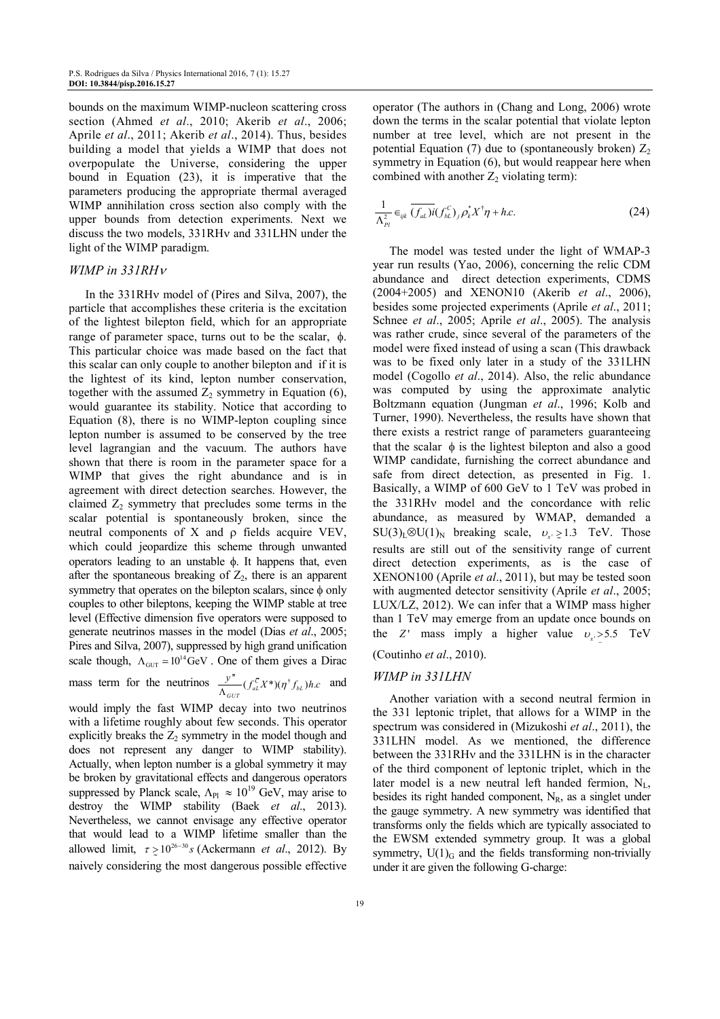bounds on the maximum WIMP-nucleon scattering cross section (Ahmed *et al*., 2010; Akerib *et al*., 2006; Aprile *et al*., 2011; Akerib *et al*., 2014). Thus, besides building a model that yields a WIMP that does not overpopulate the Universe, considering the upper bound in Equation (23), it is imperative that the parameters producing the appropriate thermal averaged WIMP annihilation cross section also comply with the upper bounds from detection experiments. Next we discuss the two models, 331RHν and 331LHN under the light of the WIMP paradigm.

#### *WIMP in 331RH*<sup>ν</sup>

In the 331RHν model of (Pires and Silva, 2007), the particle that accomplishes these criteria is the excitation of the lightest bilepton field, which for an appropriate range of parameter space, turns out to be the scalar, φ. This particular choice was made based on the fact that this scalar can only couple to another bilepton and if it is the lightest of its kind, lepton number conservation, together with the assumed  $Z_2$  symmetry in Equation (6), would guarantee its stability. Notice that according to Equation (8), there is no WIMP-lepton coupling since lepton number is assumed to be conserved by the tree level lagrangian and the vacuum. The authors have shown that there is room in the parameter space for a WIMP that gives the right abundance and is in agreement with direct detection searches. However, the claimed  $Z_2$  symmetry that precludes some terms in the scalar potential is spontaneously broken, since the neutral components of X and ρ fields acquire VEV, which could jeopardize this scheme through unwanted operators leading to an unstable φ. It happens that, even after the spontaneous breaking of  $Z_2$ , there is an apparent symmetry that operates on the bilepton scalars, since φ only couples to other bileptons, keeping the WIMP stable at tree level (Effective dimension five operators were supposed to generate neutrinos masses in the model (Dias *et al*., 2005; Pires and Silva, 2007), suppressed by high grand unification scale though,  $\Lambda_{\text{GUT}} \approx 10^{14} \text{GeV}$ . One of them gives a Dirac

mass term for the neutrinos  $\frac{y''}{\Lambda_{GUT}} (f_{aL}^{\bar{c}} X^*)(\eta^* f_{bL})h.c$  $\frac{y^{n}}{\Lambda_{GUT}} (f_{aL}^{\overline{C}} X^*) (\eta^{\dagger} f_{bL}) h.c$  and

would imply the fast WIMP decay into two neutrinos with a lifetime roughly about few seconds. This operator explicitly breaks the  $Z_2$  symmetry in the model though and does not represent any danger to WIMP stability). Actually, when lepton number is a global symmetry it may be broken by gravitational effects and dangerous operators suppressed by Planck scale,  $\Lambda_{\text{Pl}} \approx 10^{19}$  GeV, may arise to destroy the WIMP stability (Baek *et al*., 2013). Nevertheless, we cannot envisage any effective operator that would lead to a WIMP lifetime smaller than the allowed limit,  $\tau \ge 10^{26-30}$  s (Ackermann *et al.*, 2012). By naively considering the most dangerous possible effective

operator (The authors in (Chang and Long, 2006) wrote down the terms in the scalar potential that violate lepton number at tree level, which are not present in the potential Equation (7) due to (spontaneously broken)  $Z_2$ symmetry in Equation (6), but would reappear here when combined with another  $Z_2$  violating term):

$$
\frac{1}{\Lambda_{Pl}^2} \in_{ijk} \overline{(f_{al.})i(f_{bl.})}_j \rho_k^* X^\dagger \eta + h.c.
$$
 (24)

The model was tested under the light of WMAP-3 year run results (Yao, 2006), concerning the relic CDM abundance and direct detection experiments, CDMS (2004+2005) and XENON10 (Akerib *et al*., 2006), besides some projected experiments (Aprile *et al*., 2011; Schnee *et al*., 2005; Aprile *et al*., 2005). The analysis was rather crude, since several of the parameters of the model were fixed instead of using a scan (This drawback was to be fixed only later in a study of the 331LHN model (Cogollo *et al*., 2014). Also, the relic abundance was computed by using the approximate analytic Boltzmann equation (Jungman *et al*., 1996; Kolb and Turner, 1990). Nevertheless, the results have shown that there exists a restrict range of parameters guaranteeing that the scalar  $\phi$  is the lightest bilepton and also a good WIMP candidate, furnishing the correct abundance and safe from direct detection, as presented in Fig. 1. Basically, a WIMP of 600 GeV to 1 TeV was probed in the 331RHν model and the concordance with relic abundance, as measured by WMAP, demanded a  $SU(3)_L \otimes U(1)_N$  breaking scale,  $v_x \ge 1.3$  TeV. Those results are still out of the sensitivity range of current direct detection experiments, as is the case of XENON100 (Aprile *et al*., 2011), but may be tested soon with augmented detector sensitivity (Aprile *et al*., 2005; LUX/LZ, 2012). We can infer that a WIMP mass higher than 1 TeV may emerge from an update once bounds on the *Z* ' mass imply a higher value  $v_x > 5.5$  TeV

# (Coutinho *et al*., 2010).

# *WIMP in 331LHN*

Another variation with a second neutral fermion in the 331 leptonic triplet, that allows for a WIMP in the spectrum was considered in (Mizukoshi *et al*., 2011), the 331LHN model. As we mentioned, the difference between the 331RHν and the 331LHN is in the character of the third component of leptonic triplet, which in the later model is a new neutral left handed fermion,  $N_{L}$ , besides its right handed component,  $N_R$ , as a singlet under the gauge symmetry. A new symmetry was identified that transforms only the fields which are typically associated to the EWSM extended symmetry group. It was a global symmetry,  $U(1)$ <sub>G</sub> and the fields transforming non-trivially under it are given the following G-charge: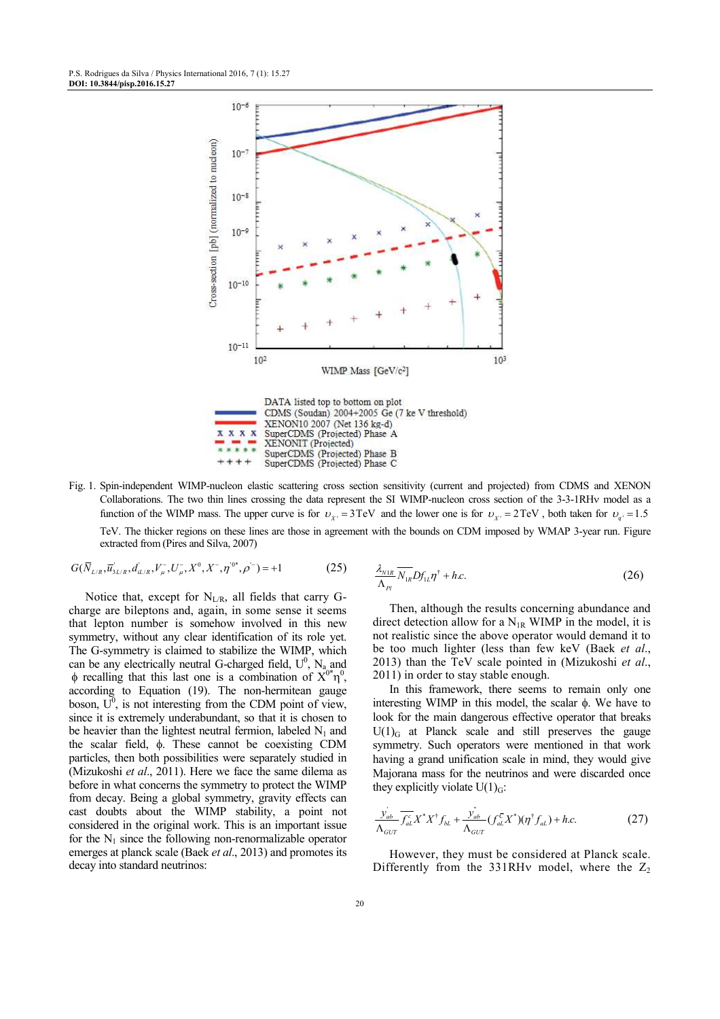

Fig. 1. Spin-independent WIMP-nucleon elastic scattering cross section sensitivity (current and projected) from CDMS and XENON Collaborations. The two thin lines crossing the data represent the SI WIMP-nucleon cross section of the 3-3-1RHν model as a function of the WIMP mass. The upper curve is for  $v_{x} = 3 \text{TeV}$  and the lower one is for  $v_{x} = 2 \text{TeV}$ , both taken for  $v_{q} = 1.5$ TeV. The thicker regions on these lines are those in agreement with the bounds on CDM imposed by WMAP 3-year run. Figure extracted from (Pires and Silva, 2007)

$$
G(\overline{N}_{L/R}, \overline{u}_{3L/R}^*, d_{L/R}^*, V_\mu^-, U_\mu^-, X^0, X^-, \eta^{'0^*}, \rho^{'}) = +1
$$
 (25)

Notice that, except for  $N_{L/R}$ , all fields that carry Gcharge are bileptons and, again, in some sense it seems that lepton number is somehow involved in this new symmetry, without any clear identification of its role yet. The G-symmetry is claimed to stabilize the WIMP, which can be any electrically neutral G-charged field,  $U^0$ ,  $N_{a}$  and  $\phi$  recalling that this last one is a combination of  $X^{0*}\eta^0$ , according to Equation (19). The non-hermitean gauge boson,  $U^0$ , is not interesting from the CDM point of view, since it is extremely underabundant, so that it is chosen to be heavier than the lightest neutral fermion, labeled  $N_1$  and the scalar field, φ. These cannot be coexisting CDM particles, then both possibilities were separately studied in (Mizukoshi *et al*., 2011). Here we face the same dilema as before in what concerns the symmetry to protect the WIMP from decay. Being a global symmetry, gravity effects can cast doubts about the WIMP stability, a point not considered in the original work. This is an important issue for the  $N_1$  since the following non-renormalizable operator emerges at planck scale (Baek *et al*., 2013) and promotes its decay into standard neutrinos:

$$
\frac{\lambda_{N1R}}{\Lambda_{Pl}} \overline{N_{1R}} D f_{1L} \eta^{\dagger} + h.c.
$$
 (26)

Then, although the results concerning abundance and direct detection allow for a  $N_{1R}$  WIMP in the model, it is not realistic since the above operator would demand it to be too much lighter (less than few keV (Baek *et al*., 2013) than the TeV scale pointed in (Mizukoshi *et al*., 2011) in order to stay stable enough.

In this framework, there seems to remain only one interesting WIMP in this model, the scalar φ. We have to look for the main dangerous effective operator that breaks  $U(1)$ <sub>G</sub> at Planck scale and still preserves the gauge symmetry. Such operators were mentioned in that work having a grand unification scale in mind, they would give Majorana mass for the neutrinos and were discarded once they explicitly violate  $U(1)_{G}$ :

$$
\frac{\dot{y}_{ab}}{\Lambda_{GUT}} \overline{f_{al}}^c X^* X^{\dagger} f_{bl} + \frac{\dot{y}_{ab}}{\Lambda_{GUT}} (f_{al}^{\bar{c}} X^*) (\eta^{\dagger} f_{al}) + h.c.
$$
 (27)

However, they must be considered at Planck scale. Differently from the 331RHv model, where the  $Z_2$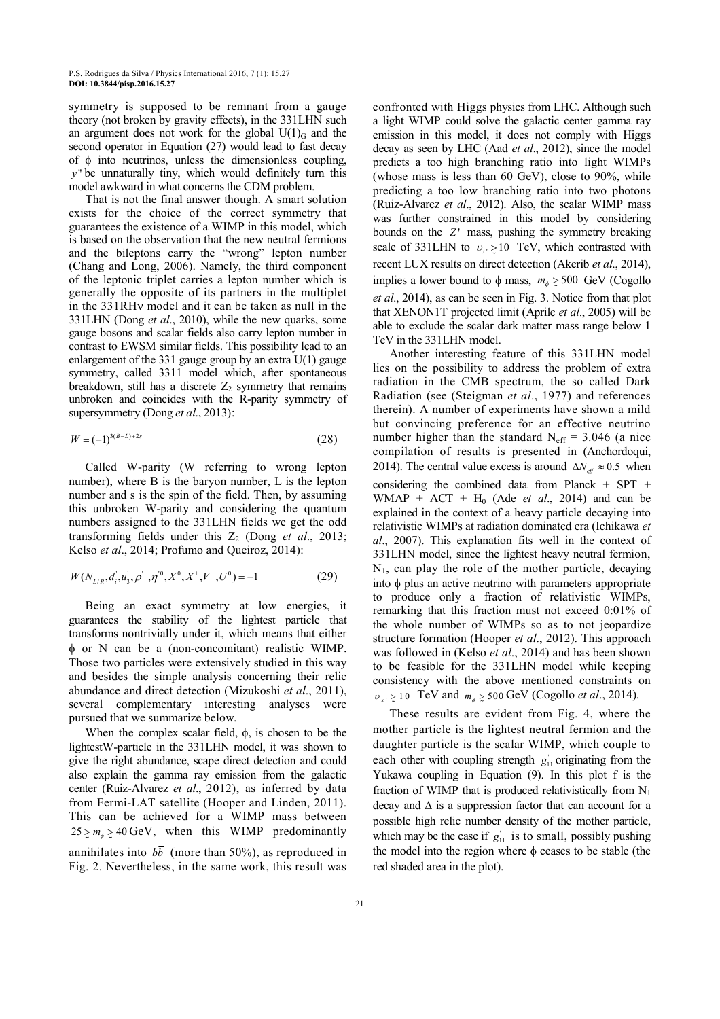symmetry is supposed to be remnant from a gauge theory (not broken by gravity effects), in the 331LHN such an argument does not work for the global  $U(1)_{G}$  and the second operator in Equation (27) would lead to fast decay of φ into neutrinos, unless the dimensionless coupling, *y*" be unnaturally tiny, which would definitely turn this model awkward in what concerns the CDM problem.

That is not the final answer though. A smart solution exists for the choice of the correct symmetry that guarantees the existence of a WIMP in this model, which is based on the observation that the new neutral fermions and the bileptons carry the "wrong" lepton number (Chang and Long, 2006). Namely, the third component of the leptonic triplet carries a lepton number which is generally the opposite of its partners in the multiplet in the 331RHν model and it can be taken as null in the 331LHN (Dong *et al*., 2010), while the new quarks, some gauge bosons and scalar fields also carry lepton number in contrast to EWSM similar fields. This possibility lead to an enlargement of the 331 gauge group by an extra  $U(1)$  gauge symmetry, called 3311 model which, after spontaneous breakdown, still has a discrete  $Z_2$  symmetry that remains unbroken and coincides with the R-parity symmetry of supersymmetry (Dong *et al*., 2013):

$$
W = (-1)^{3(B-L)+2s} \tag{28}
$$

Called W-parity (W referring to wrong lepton number), where B is the baryon number, L is the lepton number and s is the spin of the field. Then, by assuming this unbroken W-parity and considering the quantum numbers assigned to the 331LHN fields we get the odd transforming fields under this  $Z_2$  (Dong *et al.*, 2013; Kelso *et al*., 2014; Profumo and Queiroz, 2014):

$$
W(N_{L/R}, d_i, u_3, \rho^{\pm}, \eta^{\prime 0}, X^0, X^{\pm}, V^{\pm}, U^0) = -1
$$
 (29)

Being an exact symmetry at low energies, it guarantees the stability of the lightest particle that transforms nontrivially under it, which means that either φ or N can be a (non-concomitant) realistic WIMP. Those two particles were extensively studied in this way and besides the simple analysis concerning their relic abundance and direct detection (Mizukoshi *et al*., 2011), several complementary interesting analyses were pursued that we summarize below.

When the complex scalar field,  $\phi$ , is chosen to be the lightestW-particle in the 331LHN model, it was shown to give the right abundance, scape direct detection and could also explain the gamma ray emission from the galactic center (Ruiz-Alvarez *et al*., 2012), as inferred by data from Fermi-LAT satellite (Hooper and Linden, 2011). This can be achieved for a WIMP mass between  $25 \ge m_{\phi} \ge 40$  GeV, when this WIMP predominantly annihilates into  $b\overline{b}$  (more than 50%), as reproduced in Fig. 2. Nevertheless, in the same work, this result was

confronted with Higgs physics from LHC. Although such a light WIMP could solve the galactic center gamma ray emission in this model, it does not comply with Higgs decay as seen by LHC (Aad *et al*., 2012), since the model predicts a too high branching ratio into light WIMPs (whose mass is less than 60 GeV), close to 90%, while predicting a too low branching ratio into two photons (Ruiz-Alvarez *et al*., 2012). Also, the scalar WIMP mass was further constrained in this model by considering bounds on the *Z*' mass, pushing the symmetry breaking scale of 331LHN to  $v_{x} \ge 10$  TeV, which contrasted with recent LUX results on direct detection (Akerib *et al*., 2014), implies a lower bound to  $\phi$  mass,  $m_{\phi} \geq 500$  GeV (Cogollo *et al*., 2014), as can be seen in Fig. 3. Notice from that plot that XENON1T projected limit (Aprile *et al*., 2005) will be able to exclude the scalar dark matter mass range below 1 TeV in the 331LHN model.

Another interesting feature of this 331LHN model lies on the possibility to address the problem of extra radiation in the CMB spectrum, the so called Dark Radiation (see (Steigman *et al*., 1977) and references therein). A number of experiments have shown a mild but convincing preference for an effective neutrino number higher than the standard  $N_{\text{eff}}$  = 3.046 (a nice compilation of results is presented in (Anchordoqui, 2014). The central value excess is around  $\Delta N_{\text{eff}} \approx 0.5$  when considering the combined data from Planck  $+$  SPT  $+$ WMAP +  $ACT$  +  $H<sub>0</sub>$  (Ade *et al.*, 2014) and can be explained in the context of a heavy particle decaying into relativistic WIMPs at radiation dominated era (Ichikawa *et al*., 2007). This explanation fits well in the context of 331LHN model, since the lightest heavy neutral fermion,  $N_1$ , can play the role of the mother particle, decaying into φ plus an active neutrino with parameters appropriate to produce only a fraction of relativistic WIMPs, remarking that this fraction must not exceed 0:01% of the whole number of WIMPs so as to not jeopardize structure formation (Hooper *et al*., 2012). This approach was followed in (Kelso *et al*., 2014) and has been shown to be feasible for the 331LHN model while keeping consistency with the above mentioned constraints on  $v_{x'} \ge 10$  TeV and  $m_{\phi} \ge 500$  GeV (Cogollo *et al.*, 2014).

These results are evident from Fig. 4, where the mother particle is the lightest neutral fermion and the daughter particle is the scalar WIMP, which couple to each other with coupling strength  $g_{11}$  originating from the Yukawa coupling in Equation (9). In this plot f is the fraction of WIMP that is produced relativistically from  $N_1$ decay and  $\Delta$  is a suppression factor that can account for a possible high relic number density of the mother particle, which may be the case if  $g_{11}$  is to small, possibly pushing the model into the region where  $φ$  ceases to be stable (the red shaded area in the plot).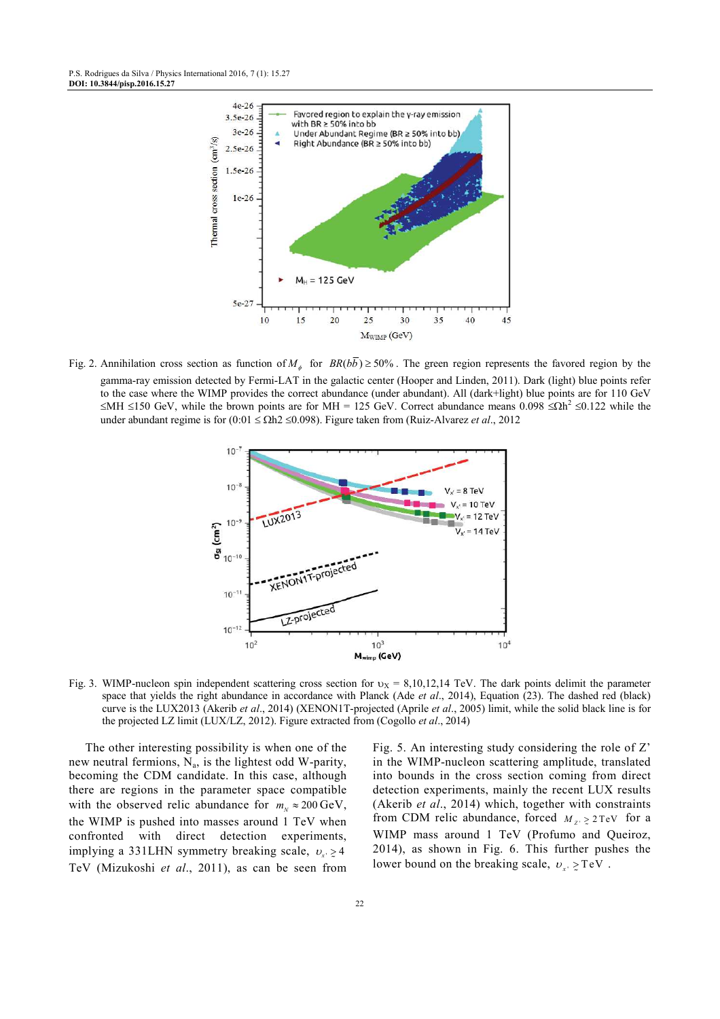

Fig. 2. Annihilation cross section as function of  $M_{\phi}$  for  $BR(bb) \ge 50\%$ . The green region represents the favored region by the gamma-ray emission detected by Fermi-LAT in the galactic center (Hooper and Linden, 2011). Dark (light) blue points refer to the case where the WIMP provides the correct abundance (under abundant). All (dark+light) blue points are for 110 GeV  $≤$ MH ≤150 GeV, while the brown points are for MH = 125 GeV. Correct abundance means 0.098 ≤Ωh<sup>2</sup> ≤0.122 while the under abundant regime is for (0:01 ≤ Ωh2 ≤0.098). Figure taken from (Ruiz-Alvarez *et al*., 2012



Fig. 3. WIMP-nucleon spin independent scattering cross section for  $v_x = 8,10,12,14$  TeV. The dark points delimit the parameter space that yields the right abundance in accordance with Planck (Ade *et al*., 2014), Equation (23). The dashed red (black) curve is the LUX2013 (Akerib *et al*., 2014) (XENON1T-projected (Aprile *et al*., 2005) limit, while the solid black line is for the projected LZ limit (LUX/LZ, 2012). Figure extracted from (Cogollo *et al*., 2014)

The other interesting possibility is when one of the new neutral fermions,  $N_a$ , is the lightest odd W-parity, becoming the CDM candidate. In this case, although there are regions in the parameter space compatible with the observed relic abundance for  $m<sub>N</sub> \approx 200$  GeV, the WIMP is pushed into masses around 1 TeV when confronted with direct detection experiments, implying a 331LHN symmetry breaking scale,  $v_x \ge 4$ TeV (Mizukoshi *et al*., 2011), as can be seen from

Fig. 5. An interesting study considering the role of Z' in the WIMP-nucleon scattering amplitude, translated into bounds in the cross section coming from direct detection experiments, mainly the recent LUX results (Akerib *et al*., 2014) which, together with constraints from CDM relic abundance, forced  $M_{Z'} \ge 2 \text{TeV}$  for a WIMP mass around 1 TeV (Profumo and Queiroz, 2014), as shown in Fig. 6. This further pushes the lower bound on the breaking scale,  $v_{x}$   $\geq$  TeV.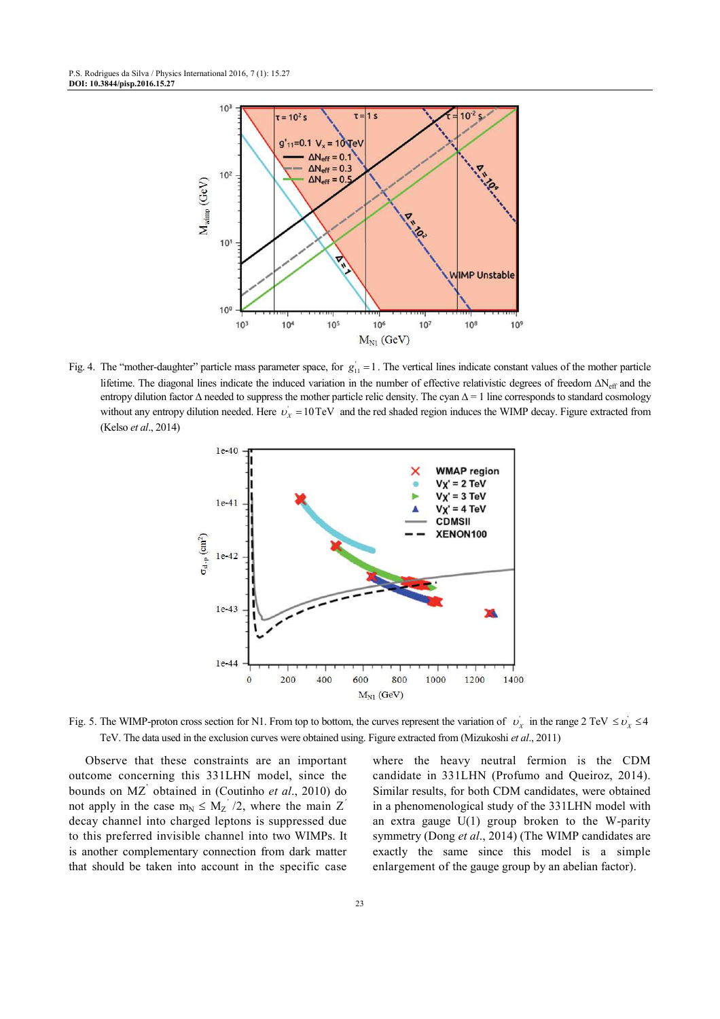

Fig. 4. The "mother-daughter" particle mass parameter space, for  $g_{11} = 1$ . The vertical lines indicate constant values of the mother particle lifetime. The diagonal lines indicate the induced variation in the number of effective relativistic degrees of freedom  $\Delta N_{\text{eff}}$  and the entropy dilution factor ∆ needed to suppress the mother particle relic density. The cyan  $\Delta = 1$  line corresponds to standard cosmology without any entropy dilution needed. Here  $v_x = 10 \text{ TeV}$  and the red shaded region induces the WIMP decay. Figure extracted from (Kelso *et al*., 2014)



Fig. 5. The WIMP-proton cross section for N1. From top to bottom, the curves represent the variation of  $v_x$  in the range 2 TeV  $\le v_x \le 4$ TeV. The data used in the exclusion curves were obtained using. Figure extracted from (Mizukoshi *et al*., 2011)

Observe that these constraints are an important outcome concerning this 331LHN model, since the bounds on MZ' obtained in (Coutinho *et al*., 2010) do not apply in the case  $m_N \leq M_Z^2/2$ , where the main Z<sup>'</sup> decay channel into charged leptons is suppressed due to this preferred invisible channel into two WIMPs. It is another complementary connection from dark matter that should be taken into account in the specific case

where the heavy neutral fermion is the CDM candidate in 331LHN (Profumo and Queiroz, 2014). Similar results, for both CDM candidates, were obtained in a phenomenological study of the 331LHN model with an extra gauge  $U(1)$  group broken to the W-parity symmetry (Dong *et al*., 2014) (The WIMP candidates are exactly the same since this model is a simple enlargement of the gauge group by an abelian factor).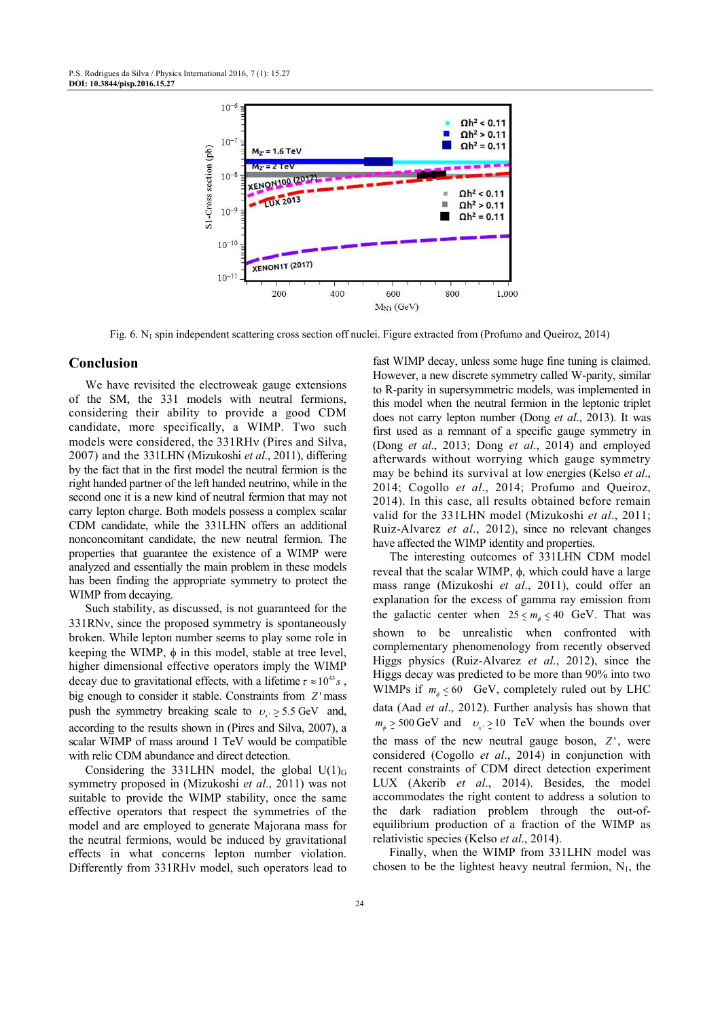

Fig. 6. N<sub>1</sub> spin independent scattering cross section off nuclei. Figure extracted from (Profumo and Queiroz, 2014)

#### **Conclusion**

We have revisited the electroweak gauge extensions of the SM, the 331 models with neutral fermions, considering their ability to provide a good CDM candidate, more specifically, a WIMP. Two such models were considered, the 331RHν (Pires and Silva, 2007) and the 331LHN (Mizukoshi *et al*., 2011), differing by the fact that in the first model the neutral fermion is the right handed partner of the left handed neutrino, while in the second one it is a new kind of neutral fermion that may not carry lepton charge. Both models possess a complex scalar CDM candidate, while the 331LHN offers an additional nonconcomitant candidate, the new neutral fermion. The properties that guarantee the existence of a WIMP were analyzed and essentially the main problem in these models has been finding the appropriate symmetry to protect the WIMP from decaying.

Such stability, as discussed, is not guaranteed for the 331RNν, since the proposed symmetry is spontaneously broken. While lepton number seems to play some role in keeping the WIMP,  $\phi$  in this model, stable at tree level, higher dimensional effective operators imply the WIMP decay due to gravitational effects, with a lifetime  $\tau \approx 10^{43} s$ , big enough to consider it stable. Constraints from *Z* 'mass push the symmetry breaking scale to  $v_x \ge 5.5$  GeV and, according to the results shown in (Pires and Silva, 2007), a scalar WIMP of mass around 1 TeV would be compatible with relic CDM abundance and direct detection.

Considering the 331LHN model, the global  $U(1)$ <sub>G</sub> symmetry proposed in (Mizukoshi *et al*., 2011) was not suitable to provide the WIMP stability, once the same effective operators that respect the symmetries of the model and are employed to generate Majorana mass for the neutral fermions, would be induced by gravitational effects in what concerns lepton number violation. Differently from 331RHν model, such operators lead to

fast WIMP decay, unless some huge fine tuning is claimed. However, a new discrete symmetry called W-parity, similar to R-parity in supersymmetric models, was implemented in this model when the neutral fermion in the leptonic triplet does not carry lepton number (Dong *et al*., 2013). It was first used as a remnant of a specific gauge symmetry in (Dong *et al*., 2013; Dong *et al*., 2014) and employed afterwards without worrying which gauge symmetry may be behind its survival at low energies (Kelso *et al*., 2014; Cogollo *et al*., 2014; Profumo and Queiroz, 2014). In this case, all results obtained before remain valid for the 331LHN model (Mizukoshi *et al*., 2011; Ruiz-Alvarez *et al*., 2012), since no relevant changes have affected the WIMP identity and properties.

The interesting outcomes of 331LHN CDM model reveal that the scalar WIMP, φ, which could have a large mass range (Mizukoshi *et al*., 2011), could offer an explanation for the excess of gamma ray emission from the galactic center when  $25 \le m_{\phi} \le 40$  GeV. That was shown to be unrealistic when confronted with complementary phenomenology from recently observed Higgs physics (Ruiz-Alvarez *et al*., 2012), since the Higgs decay was predicted to be more than 90% into two WIMPs if  $m_{\phi} \leq 60$  GeV, completely ruled out by LHC data (Aad *et al*., 2012). Further analysis has shown that  $m_{\phi} \ge 500 \text{ GeV}$  and  $v_{x} \ge 10 \text{ TeV}$  when the bounds over the mass of the new neutral gauge boson,  $Z'$ , were considered (Cogollo *et al*., 2014) in conjunction with recent constraints of CDM direct detection experiment LUX (Akerib *et al*., 2014). Besides, the model accommodates the right content to address a solution to the dark radiation problem through the out-ofequilibrium production of a fraction of the WIMP as relativistic species (Kelso *et al*., 2014).

Finally, when the WIMP from 331LHN model was chosen to be the lightest heavy neutral fermion,  $N_1$ , the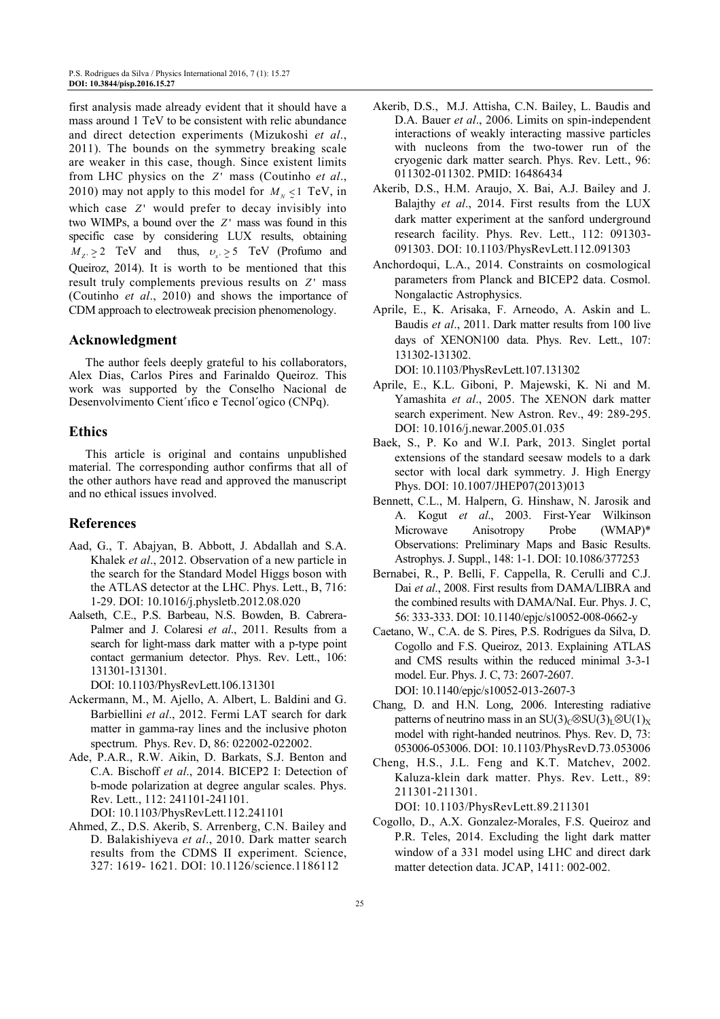first analysis made already evident that it should have a mass around 1 TeV to be consistent with relic abundance and direct detection experiments (Mizukoshi *et al*., 2011). The bounds on the symmetry breaking scale are weaker in this case, though. Since existent limits from LHC physics on the *Z'* mass (Coutinho et al., 2010) may not apply to this model for  $M_N \le 1$  TeV, in which case *Z*' would prefer to decay invisibly into two WIMPs, a bound over the  $Z'$  mass was found in this specific case by considering LUX results, obtaining  $M_{Z'} \ge 2$  TeV and thus,  $v_{x'} \ge 5$  TeV (Profumo and Queiroz, 2014). It is worth to be mentioned that this result truly complements previous results on *Z*<sup> $\prime$ </sup> mass (Coutinho *et al*., 2010) and shows the importance of CDM approach to electroweak precision phenomenology.

## **Acknowledgment**

The author feels deeply grateful to his collaborators, Alex Dias, Carlos Pires and Farinaldo Queiroz. This work was supported by the Conselho Nacional de Desenvolvimento Cient´ıfico e Tecnol´ogico (CNPq).

# **Ethics**

This article is original and contains unpublished material. The corresponding author confirms that all of the other authors have read and approved the manuscript and no ethical issues involved.

# **References**

- Aad, G., T. Abajyan, B. Abbott, J. Abdallah and S.A. Khalek *et al*., 2012. Observation of a new particle in the search for the Standard Model Higgs boson with the ATLAS detector at the LHC. Phys. Lett., B, 716: 1-29. DOI: 10.1016/j.physletb.2012.08.020
- Aalseth, C.E., P.S. Barbeau, N.S. Bowden, B. Cabrera-Palmer and J. Colaresi *et al*., 2011. Results from a search for light-mass dark matter with a p-type point contact germanium detector. Phys. Rev. Lett., 106: 131301-131301.

DOI: 10.1103/PhysRevLett.106.131301

- Ackermann, M., M. Ajello, A. Albert, L. Baldini and G. Barbiellini *et al*., 2012. Fermi LAT search for dark matter in gamma-ray lines and the inclusive photon spectrum. Phys. Rev. D, 86: 022002-022002.
- Ade, P.A.R., R.W. Aikin, D. Barkats, S.J. Benton and C.A. Bischoff *et al*., 2014. BICEP2 I: Detection of b-mode polarization at degree angular scales. Phys. Rev. Lett., 112: 241101-241101. DOI: 10.1103/PhysRevLett.112.241101
- Ahmed, Z., D.S. Akerib, S. Arrenberg, C.N. Bailey and D. Balakishiyeva *et al*., 2010. Dark matter search results from the CDMS II experiment. Science, 327: 1619- 1621. DOI: 10.1126/science.1186112
- Akerib, D.S., M.J. Attisha, C.N. Bailey, L. Baudis and D.A. Bauer *et al*., 2006. Limits on spin-independent interactions of weakly interacting massive particles with nucleons from the two-tower run of the cryogenic dark matter search. Phys. Rev. Lett., 96: 011302-011302. PMID: 16486434
- Akerib, D.S., H.M. Araujo, X. Bai, A.J. Bailey and J. Balajthy *et al*., 2014. First results from the LUX dark matter experiment at the sanford underground research facility. Phys. Rev. Lett., 112: 091303- 091303. DOI: 10.1103/PhysRevLett.112.091303
- Anchordoqui, L.A., 2014. Constraints on cosmological parameters from Planck and BICEP2 data. Cosmol. Nongalactic Astrophysics.
- Aprile, E., K. Arisaka, F. Arneodo, A. Askin and L. Baudis *et al*., 2011. Dark matter results from 100 live days of XENON100 data. Phys. Rev. Lett., 107: 131302-131302.

DOI: 10.1103/PhysRevLett.107.131302

- Aprile, E., K.L. Giboni, P. Majewski, K. Ni and M. Yamashita *et al*., 2005. The XENON dark matter search experiment. New Astron. Rev., 49: 289-295. DOI: 10.1016/j.newar.2005.01.035
- Baek, S., P. Ko and W.I. Park, 2013. Singlet portal extensions of the standard seesaw models to a dark sector with local dark symmetry. J. High Energy Phys. DOI: 10.1007/JHEP07(2013)013
- Bennett, C.L., M. Halpern, G. Hinshaw, N. Jarosik and A. Kogut *et al*., 2003. First-Year Wilkinson Microwave Anisotropy Probe (WMAP)\* Observations: Preliminary Maps and Basic Results. Astrophys. J. Suppl., 148: 1-1. DOI: 10.1086/377253
- Bernabei, R., P. Belli, F. Cappella, R. Cerulli and C.J. Dai *et al*., 2008. First results from DAMA/LIBRA and the combined results with DAMA/NaI. Eur. Phys. J. C, 56: 333-333. DOI: 10.1140/epjc/s10052-008-0662-y
- Caetano, W., C.A. de S. Pires, P.S. Rodrigues da Silva, D. Cogollo and F.S. Queiroz, 2013. Explaining ATLAS and CMS results within the reduced minimal 3-3-1 model. Eur. Phys. J. C, 73: 2607-2607. DOI: 10.1140/epjc/s10052-013-2607-3
- Chang, D. and H.N. Long, 2006. Interesting radiative patterns of neutrino mass in an SU(3)<sub>C</sub>⊗SU(3)<sub>L</sub>⊗U(1)<sub>X</sub> model with right-handed neutrinos. Phys. Rev. D, 73: 053006-053006. DOI: 10.1103/PhysRevD.73.053006
- Cheng, H.S., J.L. Feng and K.T. Matchev, 2002. Kaluza-klein dark matter. Phys. Rev. Lett., 89: 211301-211301.

DOI: 10.1103/PhysRevLett.89.211301

Cogollo, D., A.X. Gonzalez-Morales, F.S. Queiroz and P.R. Teles, 2014. Excluding the light dark matter window of a 331 model using LHC and direct dark matter detection data. JCAP, 1411: 002-002.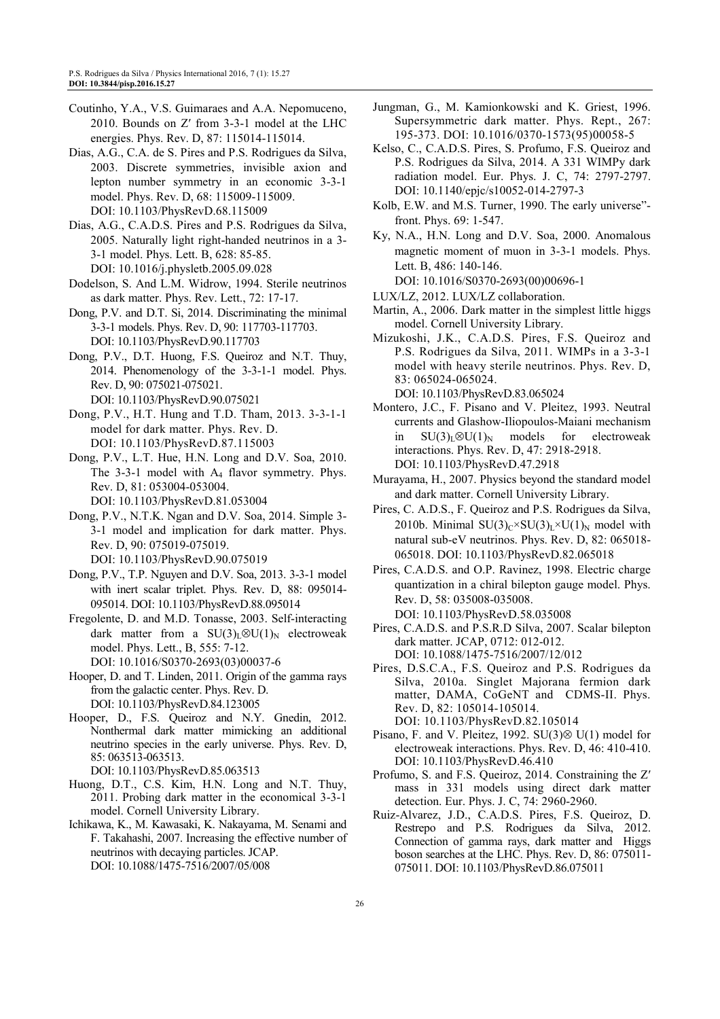- Coutinho, Y.A., V.S. Guimaraes and A.A. Nepomuceno, 2010. Bounds on Z′ from 3-3-1 model at the LHC energies. Phys. Rev. D, 87: 115014-115014.
- Dias, A.G., C.A. de S. Pires and P.S. Rodrigues da Silva, 2003. Discrete symmetries, invisible axion and lepton number symmetry in an economic 3-3-1 model. Phys. Rev. D, 68: 115009-115009. DOI: 10.1103/PhysRevD.68.115009
- Dias, A.G., C.A.D.S. Pires and P.S. Rodrigues da Silva, 2005. Naturally light right-handed neutrinos in a 3- 3-1 model. Phys. Lett. B, 628: 85-85. DOI: 10.1016/j.physletb.2005.09.028
- Dodelson, S. And L.M. Widrow, 1994. Sterile neutrinos as dark matter. Phys. Rev. Lett., 72: 17-17.
- Dong, P.V. and D.T. Si, 2014. Discriminating the minimal 3-3-1 models. Phys. Rev. D, 90: 117703-117703. DOI: 10.1103/PhysRevD.90.117703
- Dong, P.V., D.T. Huong, F.S. Queiroz and N.T. Thuy, 2014. Phenomenology of the 3-3-1-1 model. Phys. Rev. D, 90: 075021-075021. DOI: 10.1103/PhysRevD.90.075021
- Dong, P.V., H.T. Hung and T.D. Tham, 2013. 3-3-1-1 model for dark matter. Phys. Rev. D. DOI: 10.1103/PhysRevD.87.115003
- Dong, P.V., L.T. Hue, H.N. Long and D.V. Soa, 2010. The  $3-3-1$  model with  $A_4$  flavor symmetry. Phys. Rev. D, 81: 053004-053004. DOI: 10.1103/PhysRevD.81.053004
- Dong, P.V., N.T.K. Ngan and D.V. Soa, 2014. Simple 3- 3-1 model and implication for dark matter. Phys. Rev. D, 90: 075019-075019. DOI: 10.1103/PhysRevD.90.075019
- Dong, P.V., T.P. Nguyen and D.V. Soa, 2013. 3-3-1 model with inert scalar triplet. Phys. Rev. D, 88: 095014- 095014. DOI: 10.1103/PhysRevD.88.095014
- Fregolente, D. and M.D. Tonasse, 2003. Self-interacting dark matter from a SU(3)L⊗U(1)<sub>N</sub> electroweak model. Phys. Lett., B, 555: 7-12. DOI: 10.1016/S0370-2693(03)00037-6
- Hooper, D. and T. Linden, 2011. Origin of the gamma rays from the galactic center. Phys. Rev. D. DOI: 10.1103/PhysRevD.84.123005
- Hooper, D., F.S. Queiroz and N.Y. Gnedin, 2012. Nonthermal dark matter mimicking an additional neutrino species in the early universe. Phys. Rev. D, 85: 063513-063513.
- DOI: 10.1103/PhysRevD.85.063513
- Huong, D.T., C.S. Kim, H.N. Long and N.T. Thuy, 2011. Probing dark matter in the economical 3-3-1 model. Cornell University Library.
- Ichikawa, K., M. Kawasaki, K. Nakayama, M. Senami and F. Takahashi, 2007. Increasing the effective number of neutrinos with decaying particles. JCAP. DOI: 10.1088/1475-7516/2007/05/008
- Jungman, G., M. Kamionkowski and K. Griest, 1996. Supersymmetric dark matter. Phys. Rept., 267: 195-373. DOI: 10.1016/0370-1573(95)00058-5
- Kelso, C., C.A.D.S. Pires, S. Profumo, F.S. Queiroz and P.S. Rodrigues da Silva, 2014. A 331 WIMPy dark radiation model. Eur. Phys. J. C, 74: 2797-2797. DOI: 10.1140/epjc/s10052-014-2797-3
- Kolb, E.W. and M.S. Turner, 1990. The early universe" front. Phys. 69: 1-547.
- Ky, N.A., H.N. Long and D.V. Soa, 2000. Anomalous magnetic moment of muon in 3-3-1 models. Phys. Lett. B, 486: 140-146. DOI: 10.1016/S0370-2693(00)00696-1
- LUX/LZ, 2012. LUX/LZ collaboration.
- Martin, A., 2006. Dark matter in the simplest little higgs model. Cornell University Library.
- Mizukoshi, J.K., C.A.D.S. Pires, F.S. Queiroz and P.S. Rodrigues da Silva, 2011. WIMPs in a 3-3-1 model with heavy sterile neutrinos. Phys. Rev. D, 83: 065024-065024. DOI: 10.1103/PhysRevD.83.065024
- Montero, J.C., F. Pisano and V. Pleitez, 1993. Neutral currents and Glashow-Iliopoulos-Maiani mechanism in  $SU(3)<sub>L</sub> \otimes U(1)<sub>N</sub>$  models for electroweak interactions. Phys. Rev. D, 47: 2918-2918. DOI: 10.1103/PhysRevD.47.2918
- Murayama, H., 2007. Physics beyond the standard model and dark matter. Cornell University Library.
- Pires, C. A.D.S., F. Queiroz and P.S. Rodrigues da Silva, 2010b. Minimal  $SU(3)_C \times SU(3)_L \times U(1)_N$  model with natural sub-eV neutrinos. Phys. Rev. D, 82: 065018- 065018. DOI: 10.1103/PhysRevD.82.065018
- Pires, C.A.D.S. and O.P. Ravinez, 1998. Electric charge quantization in a chiral bilepton gauge model. Phys. Rev. D, 58: 035008-035008. DOI: 10.1103/PhysRevD.58.035008
- Pires, C.A.D.S. and P.S.R.D Silva, 2007. Scalar bilepton dark matter. JCAP, 0712: 012-012. DOI: 10.1088/1475-7516/2007/12/012
- Pires, D.S.C.A., F.S. Queiroz and P.S. Rodrigues da Silva, 2010a. Singlet Majorana fermion dark matter, DAMA, CoGeNT and CDMS-II. Phys. Rev. D, 82: 105014-105014. DOI: 10.1103/PhysRevD.82.105014
- Pisano, F. and V. Pleitez, 1992. SU(3)⊗ U(1) model for electroweak interactions. Phys. Rev. D, 46: 410-410. DOI: 10.1103/PhysRevD.46.410
- Profumo, S. and F.S. Queiroz, 2014. Constraining the Z′ mass in 331 models using direct dark matter detection. Eur. Phys. J. C, 74: 2960-2960.
- Ruiz-Alvarez, J.D., C.A.D.S. Pires, F.S. Queiroz, D. Restrepo and P.S. Rodrigues da Silva, 2012. Connection of gamma rays, dark matter and Higgs boson searches at the LHC. Phys. Rev. D, 86: 075011- 075011. DOI: 10.1103/PhysRevD.86.075011